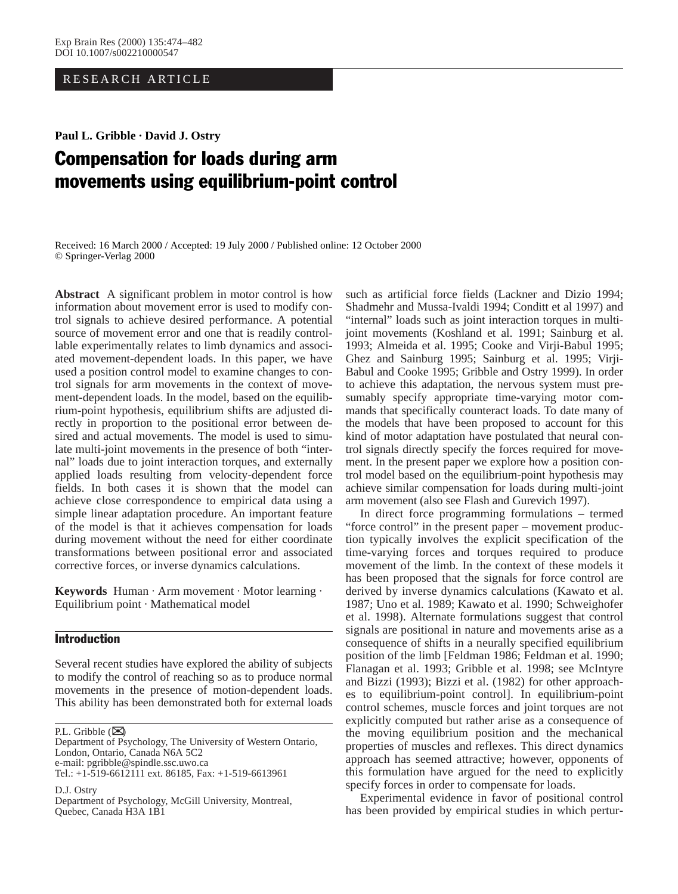RESEARCH ARTICLE

**Paul L. Gribble · David J. Ostry**

# Compensation for loads during arm movements using equilibrium-point control

Received: 16 March 2000 / Accepted: 19 July 2000 / Published online: 12 October 2000 © Springer-Verlag 2000

**Abstract** A significant problem in motor control is how information about movement error is used to modify control signals to achieve desired performance. A potential source of movement error and one that is readily controllable experimentally relates to limb dynamics and associated movement-dependent loads. In this paper, we have used a position control model to examine changes to control signals for arm movements in the context of movement-dependent loads. In the model, based on the equilibrium-point hypothesis, equilibrium shifts are adjusted directly in proportion to the positional error between desired and actual movements. The model is used to simulate multi-joint movements in the presence of both "internal" loads due to joint interaction torques, and externally applied loads resulting from velocity-dependent force fields. In both cases it is shown that the model can achieve close correspondence to empirical data using a simple linear adaptation procedure. An important feature of the model is that it achieves compensation for loads during movement without the need for either coordinate transformations between positional error and associated corrective forces, or inverse dynamics calculations.

**Keywords** Human · Arm movement · Motor learning · Equilibrium point · Mathematical model

# Introduction

Several recent studies have explored the ability of subjects to modify the control of reaching so as to produce normal movements in the presence of motion-dependent loads. This ability has been demonstrated both for external loads

P.L. Gribble  $(\boxtimes)$ 

Department of Psychology, The University of Western Ontario, London, Ontario, Canada N6A 5C2 e-mail: pgribble@spindle.ssc.uwo.ca Tel.: +1-519-6612111 ext. 86185, Fax: +1-519-6613961

D.J. Ostry Department of Psychology, McGill University, Montreal, Quebec, Canada H3A 1B1

such as artificial force fields (Lackner and Dizio 1994; Shadmehr and Mussa-Ivaldi 1994; Conditt et al 1997) and "internal" loads such as joint interaction torques in multijoint movements (Koshland et al. 1991; Sainburg et al. 1993; Almeida et al. 1995; Cooke and Virji-Babul 1995; Ghez and Sainburg 1995; Sainburg et al. 1995; Virji-Babul and Cooke 1995; Gribble and Ostry 1999). In order to achieve this adaptation, the nervous system must presumably specify appropriate time-varying motor commands that specifically counteract loads. To date many of the models that have been proposed to account for this kind of motor adaptation have postulated that neural control signals directly specify the forces required for movement. In the present paper we explore how a position control model based on the equilibrium-point hypothesis may achieve similar compensation for loads during multi-joint arm movement (also see Flash and Gurevich 1997).

In direct force programming formulations – termed "force control" in the present paper – movement production typically involves the explicit specification of the time-varying forces and torques required to produce movement of the limb. In the context of these models it has been proposed that the signals for force control are derived by inverse dynamics calculations (Kawato et al. 1987; Uno et al. 1989; Kawato et al. 1990; Schweighofer et al. 1998). Alternate formulations suggest that control signals are positional in nature and movements arise as a consequence of shifts in a neurally specified equilibrium position of the limb [Feldman 1986; Feldman et al. 1990; Flanagan et al. 1993; Gribble et al. 1998; see McIntyre and Bizzi (1993); Bizzi et al. (1982) for other approaches to equilibrium-point control]. In equilibrium-point control schemes, muscle forces and joint torques are not explicitly computed but rather arise as a consequence of the moving equilibrium position and the mechanical properties of muscles and reflexes. This direct dynamics approach has seemed attractive; however, opponents of this formulation have argued for the need to explicitly specify forces in order to compensate for loads.

Experimental evidence in favor of positional control has been provided by empirical studies in which pertur-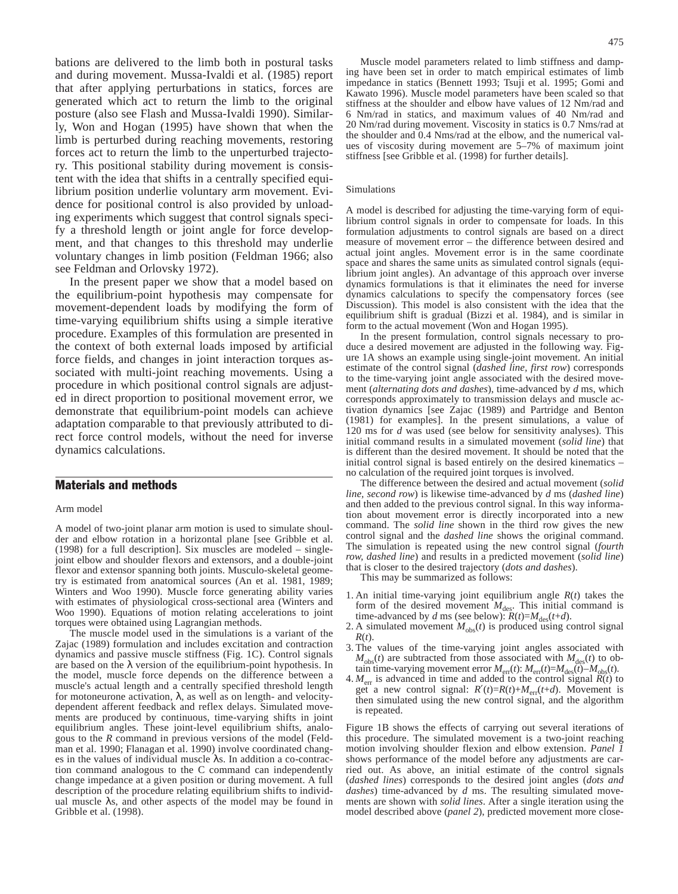bations are delivered to the limb both in postural tasks and during movement. Mussa-Ivaldi et al. (1985) report that after applying perturbations in statics, forces are generated which act to return the limb to the original posture (also see Flash and Mussa-Ivaldi 1990). Similarly, Won and Hogan (1995) have shown that when the limb is perturbed during reaching movements, restoring forces act to return the limb to the unperturbed trajectory. This positional stability during movement is consistent with the idea that shifts in a centrally specified equilibrium position underlie voluntary arm movement. Evidence for positional control is also provided by unloading experiments which suggest that control signals specify a threshold length or joint angle for force development, and that changes to this threshold may underlie voluntary changes in limb position (Feldman 1966; also see Feldman and Orlovsky 1972).

In the present paper we show that a model based on the equilibrium-point hypothesis may compensate for movement-dependent loads by modifying the form of time-varying equilibrium shifts using a simple iterative procedure. Examples of this formulation are presented in the context of both external loads imposed by artificial force fields, and changes in joint interaction torques associated with multi-joint reaching movements. Using a procedure in which positional control signals are adjusted in direct proportion to positional movement error, we demonstrate that equilibrium-point models can achieve adaptation comparable to that previously attributed to direct force control models, without the need for inverse dynamics calculations.

### Materials and methods

#### Arm model

A model of two-joint planar arm motion is used to simulate shoulder and elbow rotation in a horizontal plane [see Gribble et al. (1998) for a full description]. Six muscles are modeled – singlejoint elbow and shoulder flexors and extensors, and a double-joint flexor and extensor spanning both joints. Musculo-skeletal geometry is estimated from anatomical sources (An et al. 1981, 1989; Winters and Woo 1990). Muscle force generating ability varies with estimates of physiological cross-sectional area (Winters and Woo 1990). Equations of motion relating accelerations to joint torques were obtained using Lagrangian methods.

The muscle model used in the simulations is a variant of the Zajac (1989) formulation and includes excitation and contraction dynamics and passive muscle stiffness (Fig. 1C). Control signals are based on the  $\lambda$  version of the equilibrium-point hypothesis. In the model, muscle force depends on the difference between a muscle's actual length and a centrally specified threshold length for motoneurone activation, λ, as well as on length- and velocitydependent afferent feedback and reflex delays. Simulated movements are produced by continuous, time-varying shifts in joint equilibrium angles. These joint-level equilibrium shifts, analogous to the *R* command in previous versions of the model (Feldman et al. 1990; Flanagan et al. 1990) involve coordinated changes in the values of individual muscle λs. In addition a co-contraction command analogous to the C command can independently change impedance at a given position or during movement. A full description of the procedure relating equilibrium shifts to individual muscle  $\lambda$ s, and other aspects of the model may be found in Gribble et al. (1998).

Muscle model parameters related to limb stiffness and damping have been set in order to match empirical estimates of limb impedance in statics (Bennett 1993; Tsuji et al. 1995; Gomi and Kawato 1996). Muscle model parameters have been scaled so that stiffness at the shoulder and elbow have values of 12 Nm/rad and 6 Nm/rad in statics, and maximum values of 40 Nm/rad and 20 Nm/rad during movement. Viscosity in statics is 0.7 Nms/rad at the shoulder and 0.4 Nms/rad at the elbow, and the numerical values of viscosity during movement are 5–7% of maximum joint stiffness [see Gribble et al. (1998) for further details].

#### Simulations

A model is described for adjusting the time-varying form of equilibrium control signals in order to compensate for loads. In this formulation adjustments to control signals are based on a direct measure of movement error – the difference between desired and actual joint angles. Movement error is in the same coordinate space and shares the same units as simulated control signals (equilibrium joint angles). An advantage of this approach over inverse dynamics formulations is that it eliminates the need for inverse dynamics calculations to specify the compensatory forces (see Discussion). This model is also consistent with the idea that the equilibrium shift is gradual (Bizzi et al. 1984), and is similar in form to the actual movement (Won and Hogan 1995).

In the present formulation, control signals necessary to produce a desired movement are adjusted in the following way. Figure 1A shows an example using single-joint movement. An initial estimate of the control signal (*dashed line, first row*) corresponds to the time-varying joint angle associated with the desired movement (*alternating dots and dashes*), time-advanced by *d* ms, which corresponds approximately to transmission delays and muscle activation dynamics [see Zajac (1989) and Partridge and Benton (1981) for examples]. In the present simulations, a value of 120 ms for *d* was used (see below for sensitivity analyses). This initial command results in a simulated movement (*solid line*) that is different than the desired movement. It should be noted that the initial control signal is based entirely on the desired kinematics – no calculation of the required joint torques is involved.

The difference between the desired and actual movement (*solid line, second row*) is likewise time-advanced by *d* ms (*dashed line*) and then added to the previous control signal. In this way information about movement error is directly incorporated into a new command. The *solid line* shown in the third row gives the new control signal and the *dashed line* shows the original command. The simulation is repeated using the new control signal (*fourth row, dashed line*) and results in a predicted movement (*solid line*) that is closer to the desired trajectory (*dots and dashes*).

This may be summarized as follows:

- 1. An initial time-varying joint equilibrium angle *R*(*t*) takes the form of the desired movement  $M_{\text{des}}$ . This initial command is time-advanced by *d* ms (see below):  $R(t)=M_{\text{des}}(t+d)$ .
- 2. A simulated movement  $M_{obs}(t)$  is produced using control signal *R*(*t*).
- 3. The values of the time-varying joint angles associated with  $M<sub>obs</sub>(t)$  are subtracted from those associated with  $M<sub>des</sub>(t)$  to obtain time-varying movement error  $M_{\text{err}}(t)$ :  $M_{\text{err}}(t) = M_{\text{des}}(t) - M_{\text{obs}}(t)$ .
- 4.  $M_{\text{err}}$  is advanced in time and added to the control signal  $R(t)$  to get a new control signal:  $R'(t) = R(t) + M_{\text{err}}(t+d)$ . Movement is then simulated using the new control signal, and the algorithm is repeated.

Figure 1B shows the effects of carrying out several iterations of this procedure. The simulated movement is a two-joint reaching motion involving shoulder flexion and elbow extension. *Panel 1* shows performance of the model before any adjustments are carried out. As above, an initial estimate of the control signals (*dashed lines*) corresponds to the desired joint angles (*dots and dashes*) time-advanced by *d* ms. The resulting simulated movements are shown with *solid lines*. After a single iteration using the model described above (*panel 2*), predicted movement more close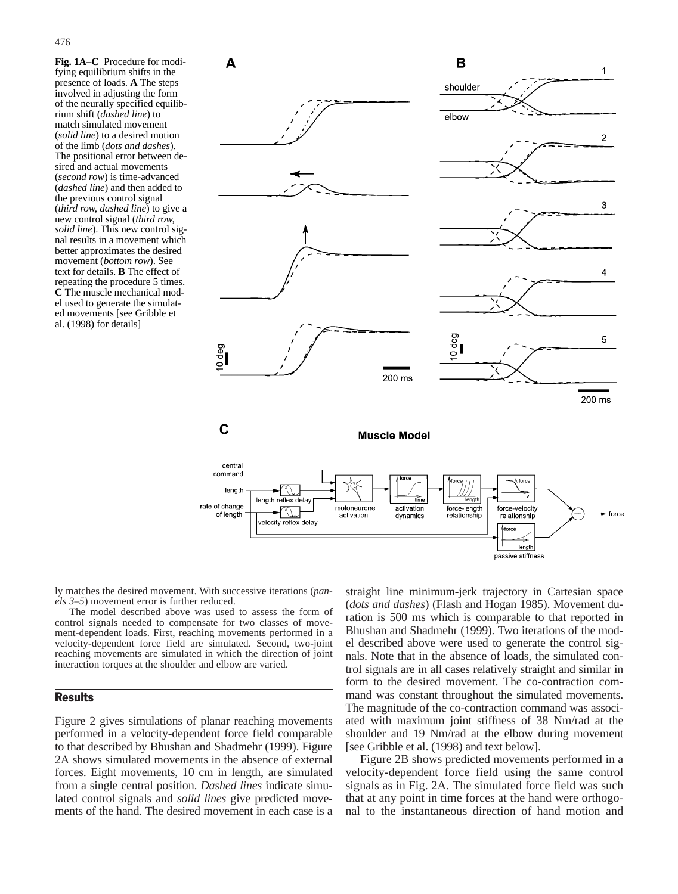**Fig. 1A–C** Procedure for modifying equilibrium shifts in the presence of loads. **A** The steps involved in adjusting the form of the neurally specified equilibrium shift (*dashed line*) to match simulated movement (*solid line*) to a desired motion of the limb (*dots and dashes*). The positional error between desired and actual movements (*second row*) is time-advanced (*dashed line*) and then added to the previous control signal (*third row, dashed line*) to give a new control signal (*third row, solid line*). This new control signal results in a movement which better approximates the desired movement (*bottom row*). See text for details. **B** The effect of repeating the procedure 5 times. **C** The muscle mechanical model used to generate the simulated movements [see Gribble et al. (1998) for details]



ly matches the desired movement. With successive iterations (*panels 3–5*) movement error is further reduced.

The model described above was used to assess the form of control signals needed to compensate for two classes of movement-dependent loads. First, reaching movements performed in a velocity-dependent force field are simulated. Second, two-joint reaching movements are simulated in which the direction of joint interaction torques at the shoulder and elbow are varied.

# **Results**

Figure 2 gives simulations of planar reaching movements performed in a velocity-dependent force field comparable to that described by Bhushan and Shadmehr (1999). Figure 2A shows simulated movements in the absence of external forces. Eight movements, 10 cm in length, are simulated from a single central position. *Dashed lines* indicate simulated control signals and *solid lines* give predicted movements of the hand. The desired movement in each case is a

straight line minimum-jerk trajectory in Cartesian space (*dots and dashes*) (Flash and Hogan 1985). Movement duration is 500 ms which is comparable to that reported in Bhushan and Shadmehr (1999). Two iterations of the model described above were used to generate the control signals. Note that in the absence of loads, the simulated control signals are in all cases relatively straight and similar in form to the desired movement. The co-contraction command was constant throughout the simulated movements. The magnitude of the co-contraction command was associated with maximum joint stiffness of 38 Nm/rad at the shoulder and 19 Nm/rad at the elbow during movement [see Gribble et al. (1998) and text below].

Figure 2B shows predicted movements performed in a velocity-dependent force field using the same control signals as in Fig. 2A. The simulated force field was such that at any point in time forces at the hand were orthogonal to the instantaneous direction of hand motion and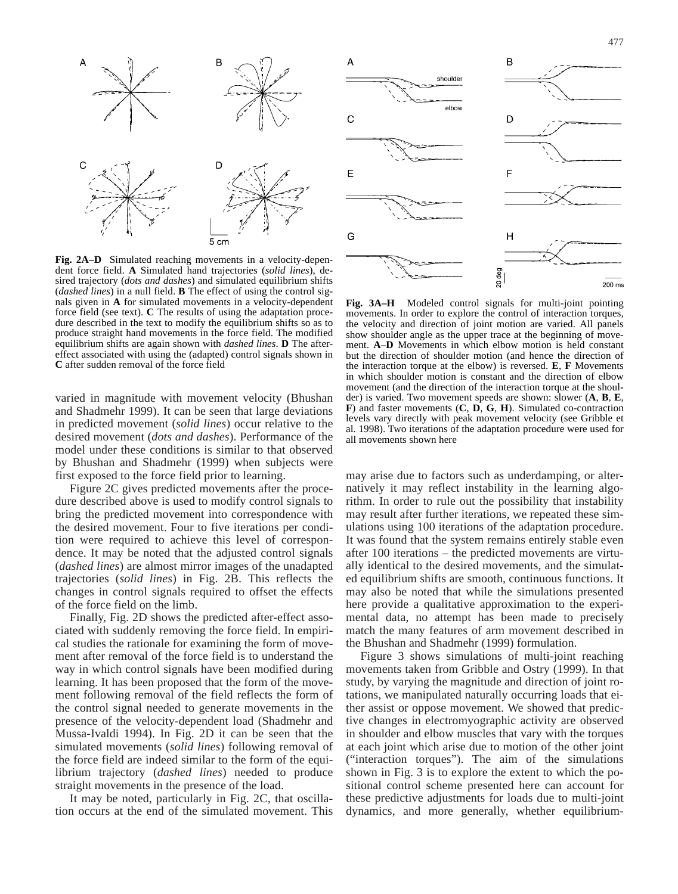

Fig. 2A–D Simulated reaching movements in a velocity-dependent force field. **A** Simulated hand trajectories (*solid lines*), desired trajectory (*dots and dashes*) and simulated equilibrium shifts (*dashed lines*) in a null field. **B** The effect of using the control signals given in **A** for simulated movements in a velocity-dependent force field (see text). **C** The results of using the adaptation procedure described in the text to modify the equilibrium shifts so as to produce straight hand movements in the force field. The modified equilibrium shifts are again shown with *dashed lines*. **D** The aftereffect associated with using the (adapted) control signals shown in **C** after sudden removal of the force field

varied in magnitude with movement velocity (Bhushan and Shadmehr 1999). It can be seen that large deviations in predicted movement (*solid lines*) occur relative to the desired movement (*dots and dashes*). Performance of the model under these conditions is similar to that observed by Bhushan and Shadmehr (1999) when subjects were first exposed to the force field prior to learning.

Figure 2C gives predicted movements after the procedure described above is used to modify control signals to bring the predicted movement into correspondence with the desired movement. Four to five iterations per condition were required to achieve this level of correspondence. It may be noted that the adjusted control signals (*dashed lines*) are almost mirror images of the unadapted trajectories (*solid lines*) in Fig. 2B. This reflects the changes in control signals required to offset the effects of the force field on the limb.

Finally, Fig. 2D shows the predicted after-effect associated with suddenly removing the force field. In empirical studies the rationale for examining the form of movement after removal of the force field is to understand the way in which control signals have been modified during learning. It has been proposed that the form of the movement following removal of the field reflects the form of the control signal needed to generate movements in the presence of the velocity-dependent load (Shadmehr and Mussa-Ivaldi 1994). In Fig. 2D it can be seen that the simulated movements (*solid lines*) following removal of the force field are indeed similar to the form of the equilibrium trajectory (*dashed lines*) needed to produce straight movements in the presence of the load.

It may be noted, particularly in Fig. 2C, that oscillation occurs at the end of the simulated movement. This



**Fig. 3A–H** Modeled control signals for multi-joint pointing movements. In order to explore the control of interaction torques, the velocity and direction of joint motion are varied. All panels show shoulder angle as the upper trace at the beginning of movement. **A**–**D** Movements in which elbow motion is held constant but the direction of shoulder motion (and hence the direction of the interaction torque at the elbow) is reversed. **E**, **F** Movements in which shoulder motion is constant and the direction of elbow movement (and the direction of the interaction torque at the shoulder) is varied. Two movement speeds are shown: slower (**A**, **B**, **E**, **F**) and faster movements (**C**, **D**, **G**, **H**). Simulated co-contraction levels vary directly with peak movement velocity (see Gribble et al. 1998). Two iterations of the adaptation procedure were used for all movements shown here

may arise due to factors such as underdamping, or alternatively it may reflect instability in the learning algorithm. In order to rule out the possibility that instability may result after further iterations, we repeated these simulations using 100 iterations of the adaptation procedure. It was found that the system remains entirely stable even after 100 iterations – the predicted movements are virtually identical to the desired movements, and the simulated equilibrium shifts are smooth, continuous functions. It may also be noted that while the simulations presented here provide a qualitative approximation to the experimental data, no attempt has been made to precisely match the many features of arm movement described in the Bhushan and Shadmehr (1999) formulation.

Figure 3 shows simulations of multi-joint reaching movements taken from Gribble and Ostry (1999). In that study, by varying the magnitude and direction of joint rotations, we manipulated naturally occurring loads that either assist or oppose movement. We showed that predictive changes in electromyographic activity are observed in shoulder and elbow muscles that vary with the torques at each joint which arise due to motion of the other joint ("interaction torques"). The aim of the simulations shown in Fig. 3 is to explore the extent to which the positional control scheme presented here can account for these predictive adjustments for loads due to multi-joint dynamics, and more generally, whether equilibrium-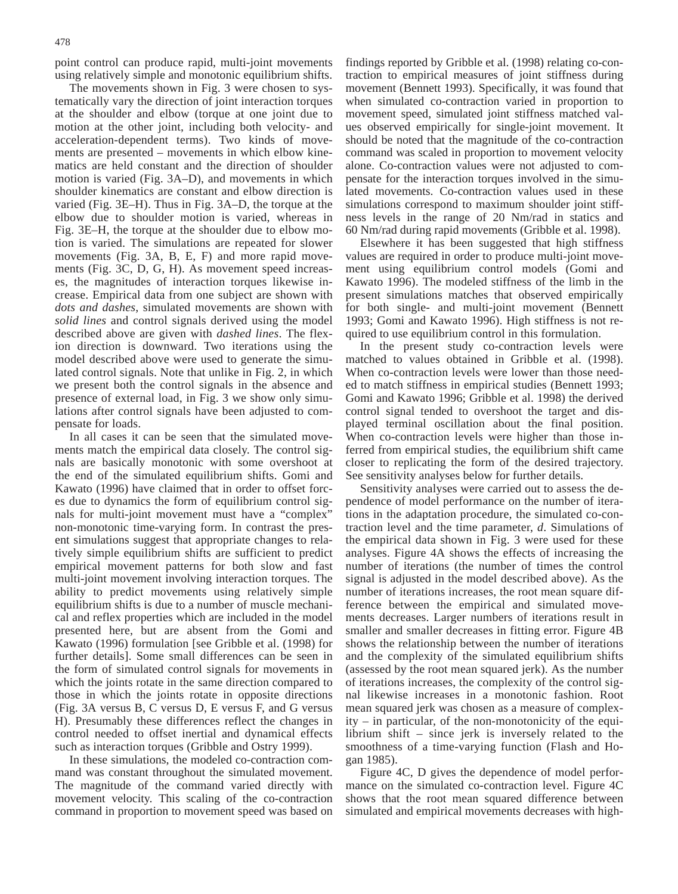The movements shown in Fig. 3 were chosen to systematically vary the direction of joint interaction torques at the shoulder and elbow (torque at one joint due to motion at the other joint, including both velocity- and acceleration-dependent terms). Two kinds of movements are presented – movements in which elbow kinematics are held constant and the direction of shoulder motion is varied (Fig. 3A–D), and movements in which shoulder kinematics are constant and elbow direction is varied (Fig. 3E–H). Thus in Fig. 3A–D, the torque at the elbow due to shoulder motion is varied, whereas in Fig. 3E–H, the torque at the shoulder due to elbow motion is varied. The simulations are repeated for slower movements (Fig. 3A, B, E, F) and more rapid movements (Fig. 3C, D, G, H). As movement speed increases, the magnitudes of interaction torques likewise increase. Empirical data from one subject are shown with *dots and dashes*, simulated movements are shown with *solid lines* and control signals derived using the model described above are given with *dashed lines*. The flexion direction is downward. Two iterations using the model described above were used to generate the simulated control signals. Note that unlike in Fig. 2, in which we present both the control signals in the absence and presence of external load, in Fig. 3 we show only simulations after control signals have been adjusted to compensate for loads.

In all cases it can be seen that the simulated movements match the empirical data closely. The control signals are basically monotonic with some overshoot at the end of the simulated equilibrium shifts. Gomi and Kawato (1996) have claimed that in order to offset forces due to dynamics the form of equilibrium control signals for multi-joint movement must have a "complex" non-monotonic time-varying form. In contrast the present simulations suggest that appropriate changes to relatively simple equilibrium shifts are sufficient to predict empirical movement patterns for both slow and fast multi-joint movement involving interaction torques. The ability to predict movements using relatively simple equilibrium shifts is due to a number of muscle mechanical and reflex properties which are included in the model presented here, but are absent from the Gomi and Kawato (1996) formulation [see Gribble et al. (1998) for further details]. Some small differences can be seen in the form of simulated control signals for movements in which the joints rotate in the same direction compared to those in which the joints rotate in opposite directions (Fig. 3A versus B, C versus D, E versus F, and G versus H). Presumably these differences reflect the changes in control needed to offset inertial and dynamical effects such as interaction torques (Gribble and Ostry 1999).

In these simulations, the modeled co-contraction command was constant throughout the simulated movement. The magnitude of the command varied directly with movement velocity. This scaling of the co-contraction command in proportion to movement speed was based on

findings reported by Gribble et al. (1998) relating co-contraction to empirical measures of joint stiffness during movement (Bennett 1993). Specifically, it was found that when simulated co-contraction varied in proportion to movement speed, simulated joint stiffness matched values observed empirically for single-joint movement. It should be noted that the magnitude of the co-contraction command was scaled in proportion to movement velocity alone. Co-contraction values were not adjusted to compensate for the interaction torques involved in the simulated movements. Co-contraction values used in these simulations correspond to maximum shoulder joint stiffness levels in the range of 20 Nm/rad in statics and 60 Nm/rad during rapid movements (Gribble et al. 1998).

Elsewhere it has been suggested that high stiffness values are required in order to produce multi-joint movement using equilibrium control models (Gomi and Kawato 1996). The modeled stiffness of the limb in the present simulations matches that observed empirically for both single- and multi-joint movement (Bennett 1993; Gomi and Kawato 1996). High stiffness is not required to use equilibrium control in this formulation.

In the present study co-contraction levels were matched to values obtained in Gribble et al. (1998). When co-contraction levels were lower than those needed to match stiffness in empirical studies (Bennett 1993; Gomi and Kawato 1996; Gribble et al. 1998) the derived control signal tended to overshoot the target and displayed terminal oscillation about the final position. When co-contraction levels were higher than those inferred from empirical studies, the equilibrium shift came closer to replicating the form of the desired trajectory. See sensitivity analyses below for further details.

Sensitivity analyses were carried out to assess the dependence of model performance on the number of iterations in the adaptation procedure, the simulated co-contraction level and the time parameter, *d*. Simulations of the empirical data shown in Fig. 3 were used for these analyses. Figure 4A shows the effects of increasing the number of iterations (the number of times the control signal is adjusted in the model described above). As the number of iterations increases, the root mean square difference between the empirical and simulated movements decreases. Larger numbers of iterations result in smaller and smaller decreases in fitting error. Figure 4B shows the relationship between the number of iterations and the complexity of the simulated equilibrium shifts (assessed by the root mean squared jerk). As the number of iterations increases, the complexity of the control signal likewise increases in a monotonic fashion. Root mean squared jerk was chosen as a measure of complexity – in particular, of the non-monotonicity of the equilibrium shift – since jerk is inversely related to the smoothness of a time-varying function (Flash and Hogan 1985).

Figure 4C, D gives the dependence of model performance on the simulated co-contraction level. Figure 4C shows that the root mean squared difference between simulated and empirical movements decreases with high-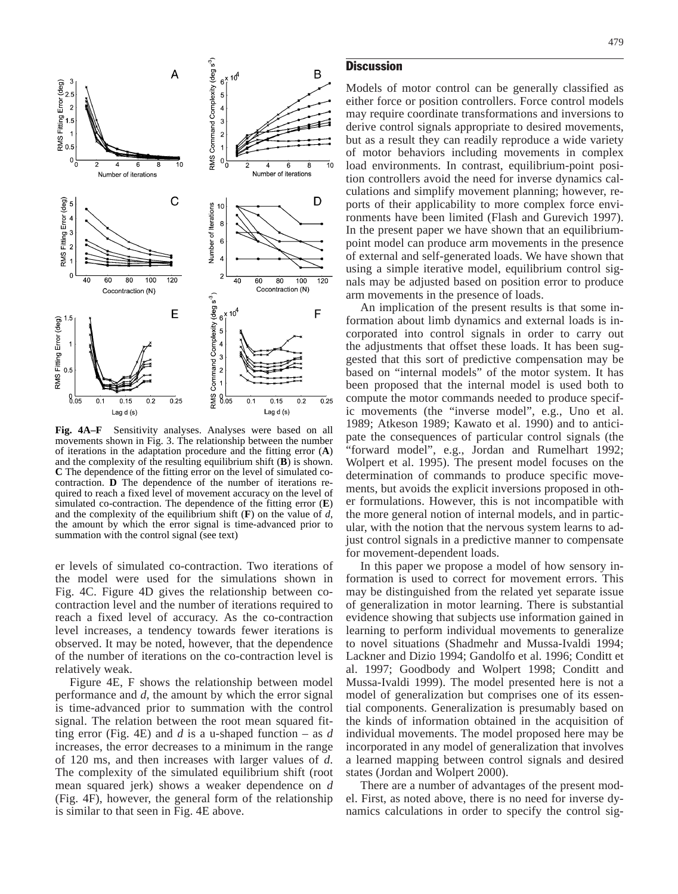

**Fig. 4A–F** Sensitivity analyses. Analyses were based on all movements shown in Fig. 3. The relationship between the number of iterations in the adaptation procedure and the fitting error (**A**) and the complexity of the resulting equilibrium shift (**B**) is shown. **C** The dependence of the fitting error on the level of simulated cocontraction. **D** The dependence of the number of iterations required to reach a fixed level of movement accuracy on the level of simulated co-contraction. The dependence of the fitting error (**E**) and the complexity of the equilibrium shift (**F**) on the value of *d*, the amount by which the error signal is time-advanced prior to summation with the control signal (see text)

er levels of simulated co-contraction. Two iterations of the model were used for the simulations shown in Fig. 4C. Figure 4D gives the relationship between cocontraction level and the number of iterations required to reach a fixed level of accuracy. As the co-contraction level increases, a tendency towards fewer iterations is observed. It may be noted, however, that the dependence of the number of iterations on the co-contraction level is relatively weak.

Figure 4E, F shows the relationship between model performance and *d*, the amount by which the error signal is time-advanced prior to summation with the control signal. The relation between the root mean squared fitting error (Fig. 4E) and *d* is a u-shaped function – as *d* increases, the error decreases to a minimum in the range of 120 ms, and then increases with larger values of *d*. The complexity of the simulated equilibrium shift (root mean squared jerk) shows a weaker dependence on *d* (Fig. 4F), however, the general form of the relationship is similar to that seen in Fig. 4E above.

# **Discussion**

Models of motor control can be generally classified as either force or position controllers. Force control models may require coordinate transformations and inversions to derive control signals appropriate to desired movements, but as a result they can readily reproduce a wide variety of motor behaviors including movements in complex load environments. In contrast, equilibrium-point position controllers avoid the need for inverse dynamics calculations and simplify movement planning; however, reports of their applicability to more complex force environments have been limited (Flash and Gurevich 1997). In the present paper we have shown that an equilibriumpoint model can produce arm movements in the presence of external and self-generated loads. We have shown that using a simple iterative model, equilibrium control signals may be adjusted based on position error to produce arm movements in the presence of loads.

An implication of the present results is that some information about limb dynamics and external loads is incorporated into control signals in order to carry out the adjustments that offset these loads. It has been suggested that this sort of predictive compensation may be based on "internal models" of the motor system. It has been proposed that the internal model is used both to compute the motor commands needed to produce specific movements (the "inverse model", e.g., Uno et al. 1989; Atkeson 1989; Kawato et al. 1990) and to anticipate the consequences of particular control signals (the "forward model", e.g., Jordan and Rumelhart 1992; Wolpert et al. 1995). The present model focuses on the determination of commands to produce specific movements, but avoids the explicit inversions proposed in other formulations. However, this is not incompatible with the more general notion of internal models, and in particular, with the notion that the nervous system learns to adjust control signals in a predictive manner to compensate for movement-dependent loads.

In this paper we propose a model of how sensory information is used to correct for movement errors. This may be distinguished from the related yet separate issue of generalization in motor learning. There is substantial evidence showing that subjects use information gained in learning to perform individual movements to generalize to novel situations (Shadmehr and Mussa-Ivaldi 1994; Lackner and Dizio 1994; Gandolfo et al. 1996; Conditt et al. 1997; Goodbody and Wolpert 1998; Conditt and Mussa-Ivaldi 1999). The model presented here is not a model of generalization but comprises one of its essential components. Generalization is presumably based on the kinds of information obtained in the acquisition of individual movements. The model proposed here may be incorporated in any model of generalization that involves a learned mapping between control signals and desired states (Jordan and Wolpert 2000).

There are a number of advantages of the present model. First, as noted above, there is no need for inverse dynamics calculations in order to specify the control sig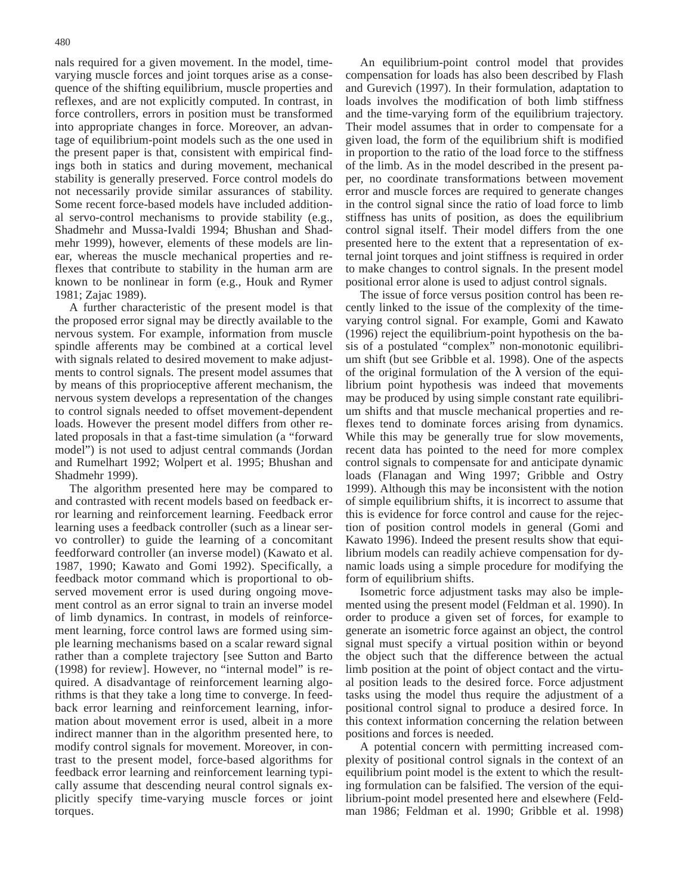nals required for a given movement. In the model, timevarying muscle forces and joint torques arise as a consequence of the shifting equilibrium, muscle properties and reflexes, and are not explicitly computed. In contrast, in force controllers, errors in position must be transformed into appropriate changes in force. Moreover, an advantage of equilibrium-point models such as the one used in the present paper is that, consistent with empirical findings both in statics and during movement, mechanical stability is generally preserved. Force control models do not necessarily provide similar assurances of stability. Some recent force-based models have included additional servo-control mechanisms to provide stability (e.g., Shadmehr and Mussa-Ivaldi 1994; Bhushan and Shadmehr 1999), however, elements of these models are linear, whereas the muscle mechanical properties and reflexes that contribute to stability in the human arm are known to be nonlinear in form (e.g., Houk and Rymer 1981; Zajac 1989).

A further characteristic of the present model is that the proposed error signal may be directly available to the nervous system. For example, information from muscle spindle afferents may be combined at a cortical level with signals related to desired movement to make adjustments to control signals. The present model assumes that by means of this proprioceptive afferent mechanism, the nervous system develops a representation of the changes to control signals needed to offset movement-dependent loads. However the present model differs from other related proposals in that a fast-time simulation (a "forward model") is not used to adjust central commands (Jordan and Rumelhart 1992; Wolpert et al. 1995; Bhushan and Shadmehr 1999).

The algorithm presented here may be compared to and contrasted with recent models based on feedback error learning and reinforcement learning. Feedback error learning uses a feedback controller (such as a linear servo controller) to guide the learning of a concomitant feedforward controller (an inverse model) (Kawato et al. 1987, 1990; Kawato and Gomi 1992). Specifically, a feedback motor command which is proportional to observed movement error is used during ongoing movement control as an error signal to train an inverse model of limb dynamics. In contrast, in models of reinforcement learning, force control laws are formed using simple learning mechanisms based on a scalar reward signal rather than a complete trajectory [see Sutton and Barto (1998) for review]. However, no "internal model" is required. A disadvantage of reinforcement learning algorithms is that they take a long time to converge. In feedback error learning and reinforcement learning, information about movement error is used, albeit in a more indirect manner than in the algorithm presented here, to modify control signals for movement. Moreover, in contrast to the present model, force-based algorithms for feedback error learning and reinforcement learning typically assume that descending neural control signals explicitly specify time-varying muscle forces or joint torques.

An equilibrium-point control model that provides compensation for loads has also been described by Flash and Gurevich (1997). In their formulation, adaptation to loads involves the modification of both limb stiffness and the time-varying form of the equilibrium trajectory. Their model assumes that in order to compensate for a given load, the form of the equilibrium shift is modified in proportion to the ratio of the load force to the stiffness of the limb. As in the model described in the present paper, no coordinate transformations between movement error and muscle forces are required to generate changes in the control signal since the ratio of load force to limb stiffness has units of position, as does the equilibrium control signal itself. Their model differs from the one presented here to the extent that a representation of external joint torques and joint stiffness is required in order to make changes to control signals. In the present model positional error alone is used to adjust control signals.

The issue of force versus position control has been recently linked to the issue of the complexity of the timevarying control signal. For example, Gomi and Kawato (1996) reject the equilibrium-point hypothesis on the basis of a postulated "complex" non-monotonic equilibrium shift (but see Gribble et al. 1998). One of the aspects of the original formulation of the  $\lambda$  version of the equilibrium point hypothesis was indeed that movements may be produced by using simple constant rate equilibrium shifts and that muscle mechanical properties and reflexes tend to dominate forces arising from dynamics. While this may be generally true for slow movements, recent data has pointed to the need for more complex control signals to compensate for and anticipate dynamic loads (Flanagan and Wing 1997; Gribble and Ostry 1999). Although this may be inconsistent with the notion of simple equilibrium shifts, it is incorrect to assume that this is evidence for force control and cause for the rejection of position control models in general (Gomi and Kawato 1996). Indeed the present results show that equilibrium models can readily achieve compensation for dynamic loads using a simple procedure for modifying the form of equilibrium shifts.

Isometric force adjustment tasks may also be implemented using the present model (Feldman et al. 1990). In order to produce a given set of forces, for example to generate an isometric force against an object, the control signal must specify a virtual position within or beyond the object such that the difference between the actual limb position at the point of object contact and the virtual position leads to the desired force. Force adjustment tasks using the model thus require the adjustment of a positional control signal to produce a desired force. In this context information concerning the relation between positions and forces is needed.

A potential concern with permitting increased complexity of positional control signals in the context of an equilibrium point model is the extent to which the resulting formulation can be falsified. The version of the equilibrium-point model presented here and elsewhere (Feldman 1986; Feldman et al. 1990; Gribble et al. 1998)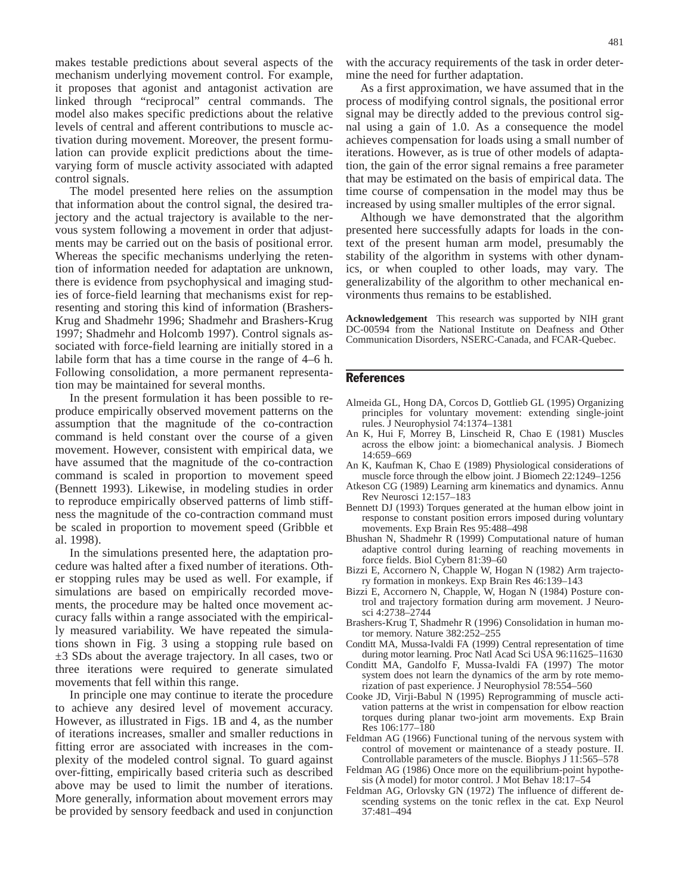makes testable predictions about several aspects of the mechanism underlying movement control. For example, it proposes that agonist and antagonist activation are linked through "reciprocal" central commands. The model also makes specific predictions about the relative levels of central and afferent contributions to muscle activation during movement. Moreover, the present formulation can provide explicit predictions about the timevarying form of muscle activity associated with adapted control signals.

The model presented here relies on the assumption that information about the control signal, the desired trajectory and the actual trajectory is available to the nervous system following a movement in order that adjustments may be carried out on the basis of positional error. Whereas the specific mechanisms underlying the retention of information needed for adaptation are unknown, there is evidence from psychophysical and imaging studies of force-field learning that mechanisms exist for representing and storing this kind of information (Brashers-Krug and Shadmehr 1996; Shadmehr and Brashers-Krug 1997; Shadmehr and Holcomb 1997). Control signals associated with force-field learning are initially stored in a labile form that has a time course in the range of 4–6 h. Following consolidation, a more permanent representation may be maintained for several months.

In the present formulation it has been possible to reproduce empirically observed movement patterns on the assumption that the magnitude of the co-contraction command is held constant over the course of a given movement. However, consistent with empirical data, we have assumed that the magnitude of the co-contraction command is scaled in proportion to movement speed (Bennett 1993). Likewise, in modeling studies in order to reproduce empirically observed patterns of limb stiffness the magnitude of the co-contraction command must be scaled in proportion to movement speed (Gribble et al. 1998).

In the simulations presented here, the adaptation procedure was halted after a fixed number of iterations. Other stopping rules may be used as well. For example, if simulations are based on empirically recorded movements, the procedure may be halted once movement accuracy falls within a range associated with the empirically measured variability. We have repeated the simulations shown in Fig. 3 using a stopping rule based on ±3 SDs about the average trajectory. In all cases, two or three iterations were required to generate simulated movements that fell within this range.

In principle one may continue to iterate the procedure to achieve any desired level of movement accuracy. However, as illustrated in Figs. 1B and 4, as the number of iterations increases, smaller and smaller reductions in fitting error are associated with increases in the complexity of the modeled control signal. To guard against over-fitting, empirically based criteria such as described above may be used to limit the number of iterations. More generally, information about movement errors may be provided by sensory feedback and used in conjunction

with the accuracy requirements of the task in order determine the need for further adaptation.

As a first approximation, we have assumed that in the process of modifying control signals, the positional error signal may be directly added to the previous control signal using a gain of 1.0. As a consequence the model achieves compensation for loads using a small number of iterations. However, as is true of other models of adaptation, the gain of the error signal remains a free parameter that may be estimated on the basis of empirical data. The time course of compensation in the model may thus be increased by using smaller multiples of the error signal.

Although we have demonstrated that the algorithm presented here successfully adapts for loads in the context of the present human arm model, presumably the stability of the algorithm in systems with other dynamics, or when coupled to other loads, may vary. The generalizability of the algorithm to other mechanical environments thus remains to be established.

**Acknowledgement** This research was supported by NIH grant DC-00594 from the National Institute on Deafness and Other Communication Disorders, NSERC-Canada, and FCAR-Quebec.

## **References**

- Almeida GL, Hong DA, Corcos D, Gottlieb GL (1995) Organizing principles for voluntary movement: extending single-joint rules. J Neurophysiol 74:1374–1381
- An K, Hui F, Morrey B, Linscheid R, Chao E (1981) Muscles across the elbow joint: a biomechanical analysis. J Biomech 14:659–669
- An K, Kaufman K, Chao E (1989) Physiological considerations of muscle force through the elbow joint. J Biomech 22:1249–1256
- Atkeson CG (1989) Learning arm kinematics and dynamics. Annu Rev Neurosci 12:157–183
- Bennett DJ (1993) Torques generated at the human elbow joint in response to constant position errors imposed during voluntary movements. Exp Brain Res 95:488–498
- Bhushan N, Shadmehr R (1999) Computational nature of human adaptive control during learning of reaching movements in force fields. Biol Cybern 81:39–60
- Bizzi E, Accornero N, Chapple W, Hogan N (1982) Arm trajectory formation in monkeys. Exp Brain Res 46:139–143
- Bizzi E, Accornero N, Chapple, W, Hogan N (1984) Posture control and trajectory formation during arm movement. J Neurosci 4:2738–2744
- Brashers-Krug T, Shadmehr R (1996) Consolidation in human motor memory. Nature 382:252–255
- Conditt MA, Mussa-Ivaldi FA (1999) Central representation of time during motor learning. Proc Natl Acad Sci USA 96:11625–11630
- Conditt MA, Gandolfo F, Mussa-Ivaldi FA (1997) The motor system does not learn the dynamics of the arm by rote memorization of past experience. J Neurophysiol 78:554–560
- Cooke JD, Virji-Babul N (1995) Reprogramming of muscle activation patterns at the wrist in compensation for elbow reaction torques during planar two-joint arm movements. Exp Brain Res 106:177–180
- Feldman AG (1966) Functional tuning of the nervous system with control of movement or maintenance of a steady posture. II. Controllable parameters of the muscle. Biophys J 11:565–578
- Feldman AG (1986) Once more on the equilibrium-point hypothesis ( $\lambda$  model) for motor control. J Mot Behav 18:17–54
- Feldman AG, Orlovsky GN (1972) The influence of different descending systems on the tonic reflex in the cat. Exp Neurol 37:481–494